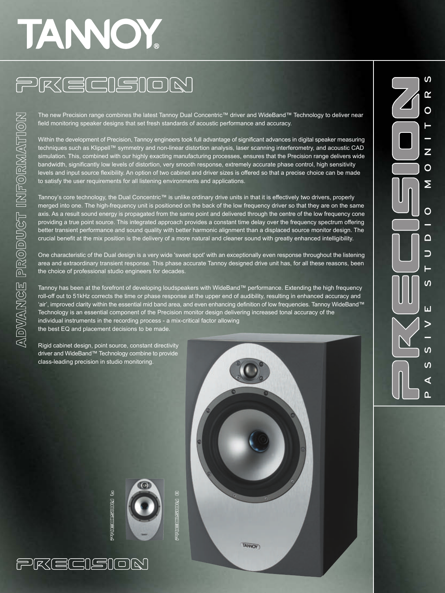# TANNOY



The new Precision range combines the latest Tannoy Dual Concentric™ driver and WideBand™ Technology to deliver near field monitoring speaker designs that set fresh standards of acoustic performance and accuracy.

Within the development of Precision, Tannoy engineers took full advantage of significant advances in digital speaker measuring techniques such as Klippell™ symmetry and non-linear distortion analysis, laser scanning interferometry, and acoustic CAD simulation. This, combined with our highly exacting manufacturing processes, ensures that the Precision range delivers wide bandwidth, significantly low levels of distortion, very smooth response, extremely accurate phase control, high sensitivity levels and input source flexibility. An option of two cabinet and driver sizes is offered so that a precise choice can be made to satisfy the user requirements for all listening environments and applications.

Tannoy's core technology, the Dual Concentric™ is unlike ordinary drive units in that it is effectively two drivers, properly merged into one. The high-frequency unit is positioned on the back of the low frequency driver so that they are on the same axis. As a result sound energy is propagated from the same point and delivered through the centre of the low frequency cone providing a true point source. This integrated approach provides a constant time delay over the frequency spectrum offering better transient performance and sound quality with better harmonic alignment than a displaced source monitor design. The crucial benefit at the mix position is the delivery of a more natural and cleaner sound with greatly enhanced intelligibility.

One characteristic of the Dual design is a very wide 'sweet spot' with an exceptionally even response throughout the listening area and extraordinary transient response. This phase accurate Tannoy designed drive unit has, for all these reasons, been the choice of professional studio engineers for decades.

Tannoy has been at the forefront of developing loudspeakers with WideBand™ performance. Extending the high frequency roll-off out to 51kHz corrects the time or phase response at the upper end of audibility, resulting in enhanced accuracy and 'air', improved clarity within the essential mid band area, and even enhancing definition of low frequencies. Tannoy WideBand™ Technology is an essential component of the Precision monitor design delivering increased tonal accuracy of the individual instruments in the recording process - a mix-critical factor allowing the best EQ and placement decisions to be made.

Rigid cabinet design, point source, constant directivity driver and WideBand™ Technology combine to provide class-leading precision in studio monitoring.



 $P(X \equiv C \equiv C)$ 



**PRECECTEDED** 

PREEISION